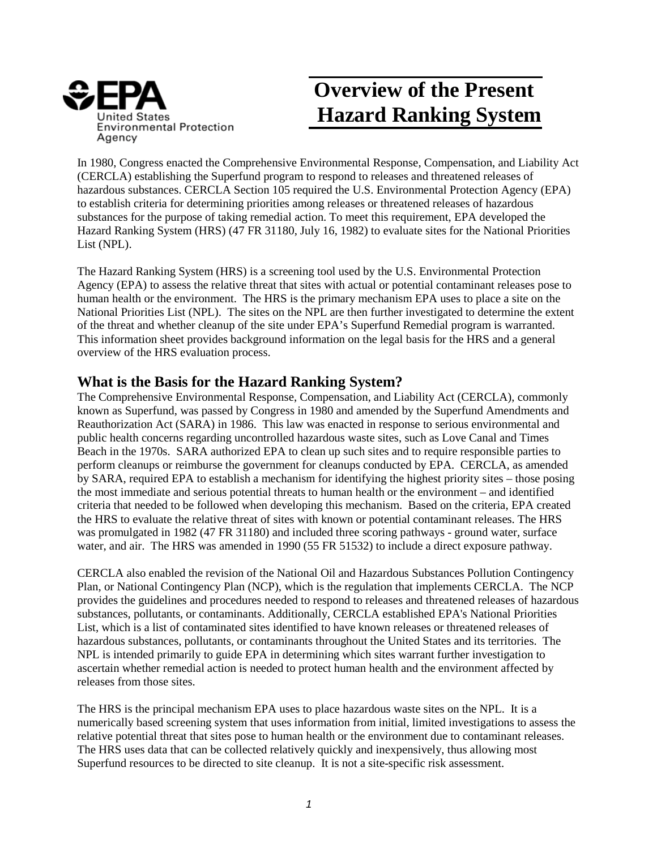

## **Overview of the Present**  United States<br>Environmental Protection<br>Environmental Protection

In 1980, Congress enacted the Comprehensive Environmental Response, Compensation, and Liability Act (CERCLA) establishing the Superfund program to respond to releases and threatened releases of hazardous substances. CERCLA Section 105 required the U.S. Environmental Protection Agency (EPA) to establish criteria for determining priorities among releases or threatened releases of hazardous substances for the purpose of taking remedial action. To meet this requirement, EPA developed the Hazard Ranking System (HRS) (47 FR 31180, July 16, 1982) to evaluate sites for the National Priorities List (NPL).

The Hazard Ranking System (HRS) is a screening tool used by the U.S. Environmental Protection Agency (EPA) to assess the relative threat that sites with actual or potential contaminant releases pose to human health or the environment. The HRS is the primary mechanism EPA uses to place a site on the National Priorities List (NPL). The sites on the NPL are then further investigated to determine the extent of the threat and whether cleanup of the site under EPA's Superfund Remedial program is warranted. This information sheet provides background information on the legal basis for the HRS and a general overview of the HRS evaluation process.

## **What is the Basis for the Hazard Ranking System?**

The Comprehensive Environmental Response, Compensation, and Liability Act (CERCLA), commonly known as Superfund, was passed by Congress in 1980 and amended by the Superfund Amendments and Reauthorization Act (SARA) in 1986. This law was enacted in response to serious environmental and public health concerns regarding uncontrolled hazardous waste sites, such as Love Canal and Times Beach in the 1970s. SARA authorized EPA to clean up such sites and to require responsible parties to perform cleanups or reimburse the government for cleanups conducted by EPA. CERCLA, as amended by SARA, required EPA to establish a mechanism for identifying the highest priority sites – those posing the most immediate and serious potential threats to human health or the environment – and identified criteria that needed to be followed when developing this mechanism. Based on the criteria, EPA created the HRS to evaluate the relative threat of sites with known or potential contaminant releases. The HRS was promulgated in 1982 (47 FR 31180) and included three scoring pathways - ground water, surface water, and air. The HRS was amended in 1990 (55 FR 51532) to include a direct exposure pathway.

CERCLA also enabled the revision of the National Oil and Hazardous Substances Pollution Contingency Plan, or National Contingency Plan (NCP), which is the regulation that implements CERCLA. The NCP provides the guidelines and procedures needed to respond to releases and threatened releases of hazardous substances, pollutants, or contaminants. Additionally, CERCLA established EPA's National Priorities List, which is a list of contaminated sites identified to have known releases or threatened releases of hazardous substances, pollutants, or contaminants throughout the United States and its territories. The NPL is intended primarily to guide EPA in determining which sites warrant further investigation to ascertain whether remedial action is needed to protect human health and the environment affected by releases from those sites.

The HRS is the principal mechanism EPA uses to place hazardous waste sites on the NPL. It is a numerically based screening system that uses information from initial, limited investigations to assess the relative potential threat that sites pose to human health or the environment due to contaminant releases. The HRS uses data that can be collected relatively quickly and inexpensively, thus allowing most Superfund resources to be directed to site cleanup. It is not a site-specific risk assessment.